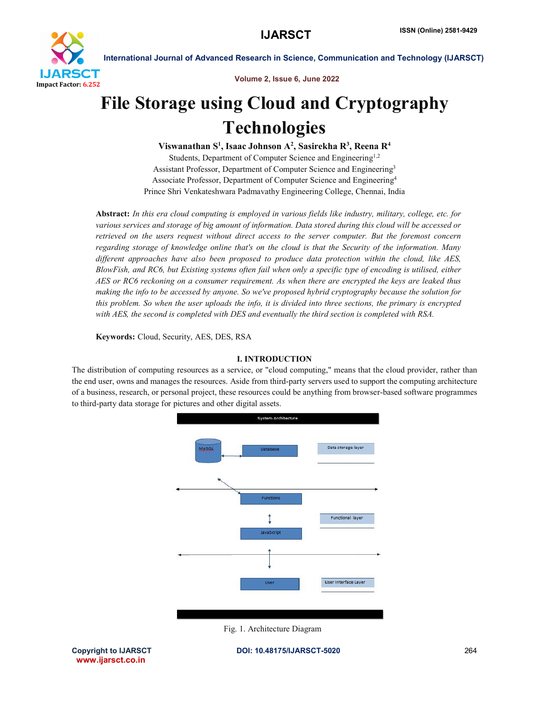

Volume 2, Issue 6, June 2022

# File Storage using Cloud and Cryptography **Technologies**

Viswanathan S<sup>1</sup>, Isaac Johnson A<sup>2</sup>, Sasirekha R<sup>3</sup>, Reena R<sup>4</sup> Students, Department of Computer Science and Engineering<sup>1,2</sup> Assistant Professor, Department of Computer Science and Engineering3 Associate Professor, Department of Computer Science and Engineering4 Prince Shri Venkateshwara Padmavathy Engineering College, Chennai, India

Abstract: *In this era cloud computing is employed in various fields like industry, military, college, etc. for various services and storage of big amount of information. Data stored during this cloud will be accessed or retrieved on the users request without direct access to the server computer. But the foremost concern regarding storage of knowledge online that's on the cloud is that the Security of the information. Many different approaches have also been proposed to produce data protection within the cloud, like AES, BlowFish, and RC6, but Existing systems often fail when only a specific type of encoding is utilised, either AES or RC6 reckoning on a consumer requirement. As when there are encrypted the keys are leaked thus making the info to be accessed by anyone. So we've proposed hybrid cryptography because the solution for this problem. So when the user uploads the info, it is divided into three sections, the primary is encrypted with AES, the second is completed with DES and eventually the third section is completed with RSA.*

Keywords: Cloud, Security, AES, DES, RSA

# I. INTRODUCTION

The distribution of computing resources as a service, or "cloud computing," means that the cloud provider, rather than the end user, owns and manages the resources. Aside from third-party servers used to support the computing architecture of a business, research, or personal project, these resources could be anything from browser-based software programmes to third-party data storage for pictures and other digital assets.



Fig. 1. Architecture Diagram

www.ijarsct.co.in

Copyright to IJARSCT **DOI: 10.48175/IJARSCT-5020** 264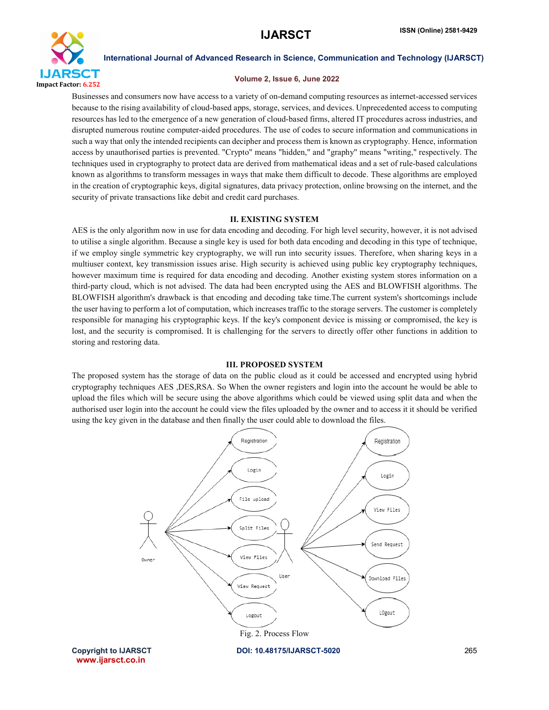

#### Volume 2, Issue 6, June 2022

Businesses and consumers now have access to a variety of on-demand computing resources as internet-accessed services because to the rising availability of cloud-based apps, storage, services, and devices. Unprecedented access to computing resources has led to the emergence of a new generation of cloud-based firms, altered IT procedures across industries, and disrupted numerous routine computer-aided procedures. The use of codes to secure information and communications in such a way that only the intended recipients can decipher and process them is known as cryptography. Hence, information access by unauthorised parties is prevented. "Crypto" means "hidden," and "graphy" means "writing," respectively. The techniques used in cryptography to protect data are derived from mathematical ideas and a set of rule-based calculations known as algorithms to transform messages in ways that make them difficult to decode. These algorithms are employed in the creation of cryptographic keys, digital signatures, data privacy protection, online browsing on the internet, and the security of private transactions like debit and credit card purchases.

# II. EXISTING SYSTEM

AES is the only algorithm now in use for data encoding and decoding. For high level security, however, it is not advised to utilise a single algorithm. Because a single key is used for both data encoding and decoding in this type of technique, if we employ single symmetric key cryptography, we will run into security issues. Therefore, when sharing keys in a multiuser context, key transmission issues arise. High security is achieved using public key cryptography techniques, however maximum time is required for data encoding and decoding. Another existing system stores information on a third-party cloud, which is not advised. The data had been encrypted using the AES and BLOWFISH algorithms. The BLOWFISH algorithm's drawback is that encoding and decoding take time.The current system's shortcomings include the user having to perform a lot of computation, which increases traffic to the storage servers. The customer is completely responsible for managing his cryptographic keys. If the key's component device is missing or compromised, the key is lost, and the security is compromised. It is challenging for the servers to directly offer other functions in addition to storing and restoring data.

# III. PROPOSED SYSTEM

The proposed system has the storage of data on the public cloud as it could be accessed and encrypted using hybrid cryptography techniques AES ,DES,RSA. So When the owner registers and login into the account he would be able to upload the files which will be secure using the above algorithms which could be viewed using split data and when the authorised user login into the account he could view the files uploaded by the owner and to access it it should be verified using the key given in the database and then finally the user could able to download the files.

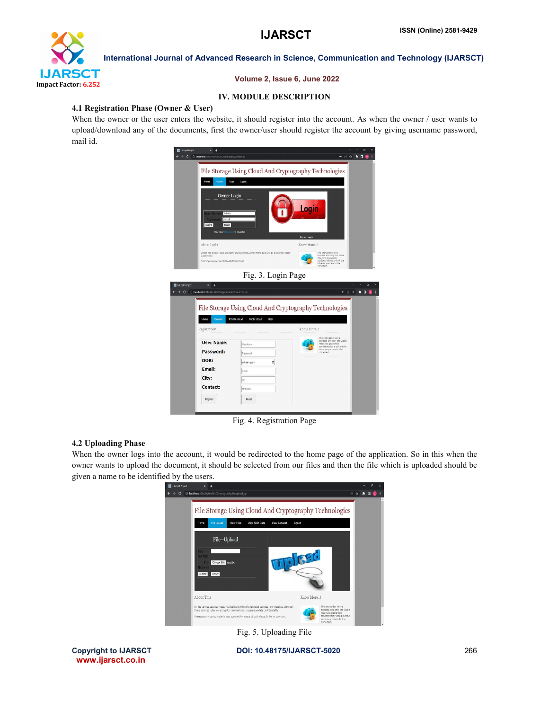

## Volume 2, Issue 6, June 2022

## IV. MODULE DESCRIPTION

## 4.1 Registration Phase (Owner & User)

When the owner or the user enters the website, it should register into the account. As when the owner / user wants to upload/download any of the documents, first the owner/user should register the account by giving username password, mail id.

| <b>M</b> File Split Project<br>$\mathbf{x}$<br>$\ddot{}$                                                                        |                                                                                                |                                                                                                                                                        | $\alpha$                                     |
|---------------------------------------------------------------------------------------------------------------------------------|------------------------------------------------------------------------------------------------|--------------------------------------------------------------------------------------------------------------------------------------------------------|----------------------------------------------|
| $\circ$<br>D localhost 8084/Hybrid%20Cryptography/owner.jsp                                                                     |                                                                                                |                                                                                                                                                        | H                                            |
| Owner<br>User<br>Home                                                                                                           | File Storage Using Cloud And Cryptography Technologies<br>About                                |                                                                                                                                                        |                                              |
| Owner Login<br>Mshwa<br><b>Jser Name:</b><br>Password:<br><b>Distance</b><br>Submit<br>Reset<br>New User Click Here To Register |                                                                                                | Login<br>Owner-Login                                                                                                                                   |                                              |
| About Login                                                                                                                     |                                                                                                | Know More!                                                                                                                                             |                                              |
| Successfully.<br>Brror message will be displayed if login failed                                                                | Owner has to enter valid username and password.Owner Home page will be displayed if login      | The encryption key is<br>exposed and only the viable.<br>means to quarantee<br>conficentiality is to limit the<br>adversery access to the<br>cphertext |                                              |
|                                                                                                                                 | Fig. 3. Login Page                                                                             |                                                                                                                                                        |                                              |
| He hile Split Project<br>×<br>е                                                                                                 |                                                                                                |                                                                                                                                                        |                                              |
| $\rightarrow$ C<br>O localhost 8064/Hybrid%20Cryptography/ownerreg.jsp                                                          |                                                                                                |                                                                                                                                                        | $\theta$ $\theta$ $\theta$<br>$*$ 0 $@$<br>и |
| Owners<br>Home<br>Registration                                                                                                  | File Storage Using Cloud And Cryptography Technologies<br>Private doud<br>Public cloud<br>User | Know More!                                                                                                                                             |                                              |
| User Name:                                                                                                                      | Joor Name                                                                                      | The encryption key is<br>exposed and only the viable<br>means to guarantee                                                                             |                                              |
| Password:                                                                                                                       | Password                                                                                       | confidentiality is to limit the<br>adversary access to the<br>ciphertext.                                                                              |                                              |
| DOB:                                                                                                                            |                                                                                                |                                                                                                                                                        |                                              |
| Email:                                                                                                                          | dd-mn-yyyy<br>۵<br>Email                                                                       |                                                                                                                                                        |                                              |
| City:                                                                                                                           | city                                                                                           |                                                                                                                                                        |                                              |
| Contact:                                                                                                                        | MobileNo.                                                                                      |                                                                                                                                                        |                                              |
| Register                                                                                                                        | Reset                                                                                          |                                                                                                                                                        |                                              |

Fig. 4. Registration Page

#### 4.2 Uploading Phase

When the owner logs into the account, it would be redirected to the home page of the application. So in this when the owner wants to upload the document, it should be selected from our files and then the file which is uploaded should be given a name to be identified by the users.



Fig. 5. Uploading File



Copyright to IJARSCT **DOI: 10.48175/IJARSCT-5020** 266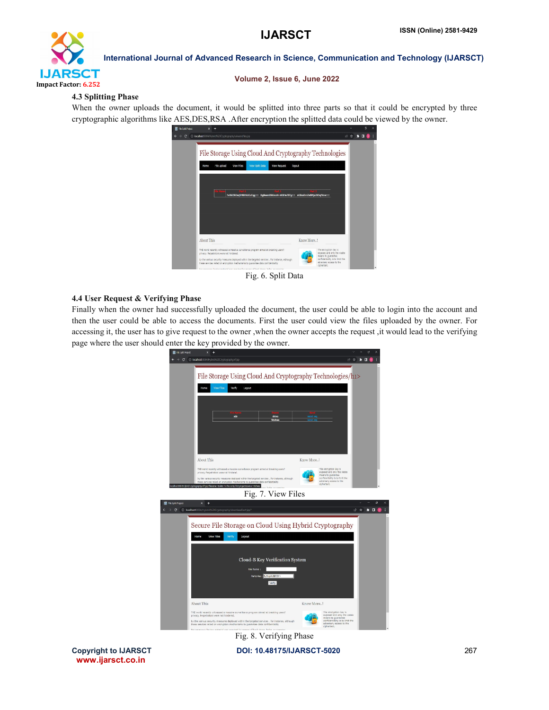

#### Volume 2, Issue 6, June 2022

### 4.3 Splitting Phase

When the owner uploads the document, it would be splitted into three parts so that it could be encrypted by three cryptographic algorithms like AES,DES,RSA .After encryption the splitted data could be viewed by the owner.

| hre spirit hoped                                                                                                                                                                                                                                                                         |                                                                                                             |                                                                                                 |  |
|------------------------------------------------------------------------------------------------------------------------------------------------------------------------------------------------------------------------------------------------------------------------------------------|-------------------------------------------------------------------------------------------------------------|-------------------------------------------------------------------------------------------------|--|
| @ localhost:8084/Hybrid%20Cryptography/viewencfiles.jsp<br>c                                                                                                                                                                                                                             |                                                                                                             |                                                                                                 |  |
| File Storage Using Cloud And Cryptography Technologies<br><b>View Solt Data</b><br>File upload<br><b>View Files</b><br>Home                                                                                                                                                              | <b>View Request</b><br>logout<br>7vXkI593wjliMBHkUCzEqq== DqBeamDkKnxA+vKBHe7STq== nCDcsDrvZeBMjxZX5qfVow== |                                                                                                 |  |
| <b>About This</b><br>THE world recently witnessed a massive surveillance program aimed at breaking users?<br>privacy. Perpetrators were not hindered.                                                                                                                                    |                                                                                                             | Know More!<br>The encryption key is<br>exposed and only the viable                              |  |
| by the various security measures deployed within the targeted services . For Instance, although<br>these services relied on ancryotion mechanisms to quarantee data confidentiality.<br>has procedured liquidae protected upon securities) his means of back doors. below, as constriant |                                                                                                             | means to guarantee<br>confidentiality is to limit the<br>adversary access to the<br>ciphertext. |  |

Fig. 6. Split Data

### 4.4 User Request & Verifying Phase

Finally when the owner had successfully uploaded the document, the user could be able to login into the account and then the user could be able to access the documents. First the user could view the files uploaded by the owner. For accessing it, the user has to give request to the owner ,when the owner accepts the request ,it would lead to the verifying page where the user should enter the key provided by the owner.



www.ijarsct.co.in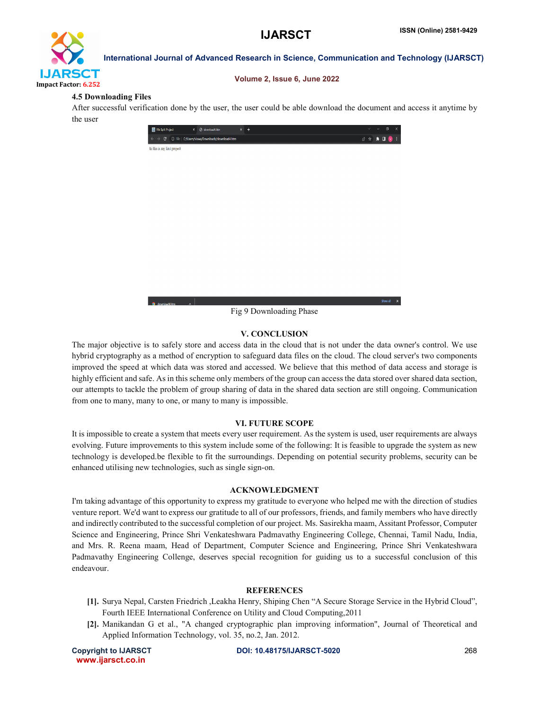

#### Volume 2, Issue 6, June 2022

### 4.5 Downloading Files

After successful verification done by the user, the user could be able download the document and access it anytime by the user

| File Split Project                                                         | X @ download4.htm | $x +$ |             |  | $ \theta$ $\times$ |  |
|----------------------------------------------------------------------------|-------------------|-------|-------------|--|--------------------|--|
| $\epsilon \leftrightarrow$ C © File C:/Users/viswa/Downloads/download4.htm |                   |       | 2 ☆ ★ □ ♥ : |  |                    |  |
| hi this is my first project                                                |                   |       |             |  |                    |  |



#### V. CONCLUSION

The major objective is to safely store and access data in the cloud that is not under the data owner's control. We use hybrid cryptography as a method of encryption to safeguard data files on the cloud. The cloud server's two components improved the speed at which data was stored and accessed. We believe that this method of data access and storage is highly efficient and safe. As in this scheme only members of the group can access the data stored over shared data section, our attempts to tackle the problem of group sharing of data in the shared data section are still ongoing. Communication from one to many, many to one, or many to many is impossible.

#### VI. FUTURE SCOPE

It is impossible to create a system that meets every user requirement. As the system is used, user requirements are always evolving. Future improvements to this system include some of the following: It is feasible to upgrade the system as new technology is developed.be flexible to fit the surroundings. Depending on potential security problems, security can be enhanced utilising new technologies, such as single sign-on.

#### ACKNOWLEDGMENT

I'm taking advantage of this opportunity to express my gratitude to everyone who helped me with the direction of studies venture report. We'd want to express our gratitude to all of our professors, friends, and family members who have directly and indirectly contributed to the successful completion of our project. Ms. Sasirekha maam, Assitant Professor, Computer Science and Engineering, Prince Shri Venkateshwara Padmavathy Engineering College, Chennai, Tamil Nadu, India, and Mrs. R. Reena maam, Head of Department, Computer Science and Engineering, Prince Shri Venkateshwara Padmavathy Engineering Collenge, deserves special recognition for guiding us to a successful conclusion of this endeavour.

#### **REFERENCES**

- [1]. Surya Nepal, Carsten Friedrich ,Leakha Henry, Shiping Chen "A Secure Storage Service in the Hybrid Cloud", Fourth IEEE International Conference on Utility and Cloud Computing,2011
- [2]. Manikandan G et al., "A changed cryptographic plan improving information", Journal of Theoretical and Applied Information Technology, vol. 35, no.2, Jan. 2012.

www.ijarsct.co.in

Copyright to IJARSCT **DOI: 10.48175/IJARSCT-5020** 268